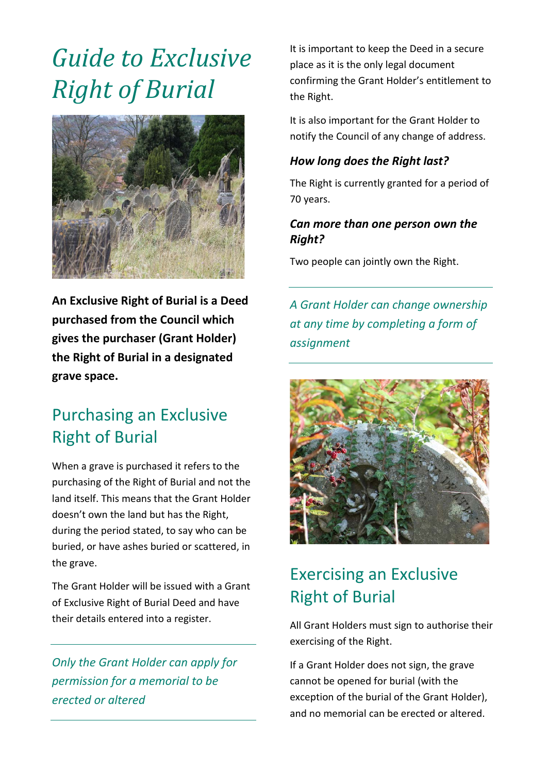# *Guide to Exclusive Right of Burial*



**An Exclusive Right of Burial is a Deed purchased from the Council which gives the purchaser (Grant Holder) the Right of Burial in a designated grave space.** 

### Purchasing an Exclusive Right of Burial

When a grave is purchased it refers to the purchasing of the Right of Burial and not the land itself. This means that the Grant Holder doesn't own the land but has the Right, during the period stated, to say who can be buried, or have ashes buried or scattered, in the grave.

The Grant Holder will be issued with a Grant of Exclusive Right of Burial Deed and have their details entered into a register.

*Only the Grant Holder can apply for permission for a memorial to be erected or altered*

It is important to keep the Deed in a secure place as it is the only legal document confirming the Grant Holder's entitlement to the Right.

It is also important for the Grant Holder to notify the Council of any change of address.

#### *How long does the Right last?*

The Right is currently granted for a period of 70 years.

#### *Can more than one person own the Right?*

Two people can jointly own the Right.

*A Grant Holder can change ownership at any time by completing a form of assignment*



# Exercising an Exclusive Right of Burial

All Grant Holders must sign to authorise their exercising of the Right.

If a Grant Holder does not sign, the grave cannot be opened for burial (with the exception of the burial of the Grant Holder), and no memorial can be erected or altered.